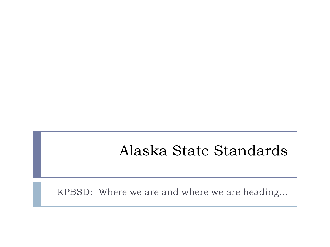## Alaska State Standards

KPBSD: Where we are and where we are heading…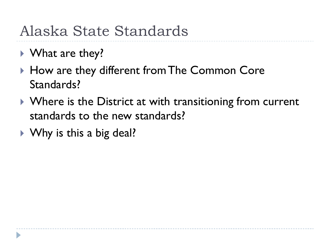## Alaska State Standards

- ▶ What are they?
- ▶ How are they different from The Common Core Standards?
- ▶ Where is the District at with transitioning from current standards to the new standards?
- ▶ Why is this a big deal?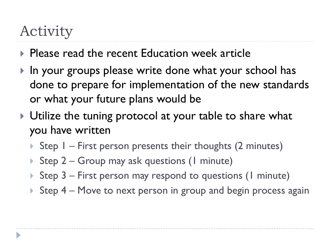# Activity

- **Please read the recent Education week article**
- If In your groups please write done what your school has done to prepare for implementation of the new standards or what your future plans would be
- ▶ Utilize the tuning protocol at your table to share what you have written
	- Step  $I$  First person presents their thoughts (2 minutes)
	- ▶ Step 2 Group may ask questions (1 minute)
	- Step  $3$  First person may respond to questions (1 minute)
	- Step  $4 -$  Move to next person in group and begin process again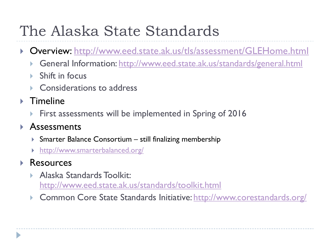# The Alaska State Standards

- Overview:<http://www.eed.state.ak.us/tls/assessment/GLEHome.html>
	- General Information:<http://www.eed.state.ak.us/standards/general.html>
	- Shift in focus
	- ▶ Considerations to address
- ▶ Timeline
	- First assessments will be implemented in Spring of 2016

#### **Assessments**

- Smarter Balance Consortium still finalizing membership
- <http://www.smarterbalanced.org/>
- Resources
	- Alaska Standards Toolkit: <http://www.eed.state.ak.us/standards/toolkit.html>
	- Common Core State Standards Initiative:<http://www.corestandards.org/>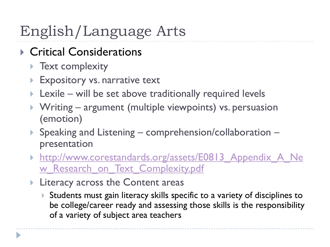# English/Language Arts

- ▶ Critical Considerations
	- **Text complexity**
	- **Expository vs. narrative text**
	- $\blacktriangleright$  Lexile will be set above traditionally required levels
	- ▶ Writing argument (multiple viewpoints) vs. persuasion (emotion)
	- ▶ Speaking and Listening comprehension/collaboration presentation
	- [http://www.corestandards.org/assets/E0813\\_Appendix\\_A\\_Ne](http://www.corestandards.org/assets/E0813_Appendix_A_New_Research_on_Text_Complexity.pdf) w Research on Text Complexity.pdf
	- **Literacy across the Content areas** 
		- Students must gain literacy skills specific to a variety of disciplines to be college/career ready and assessing those skills is the responsibility of a variety of subject area teachers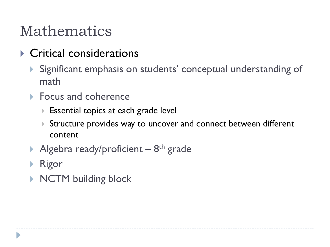## Mathematics

### ▶ Critical considerations

- Significant emphasis on students' conceptual understanding of math
- ▶ Focus and coherence
	- **Essential topics at each grade levellengle**
	- Structure provides way to uncover and connect between different content
- Algebra ready/proficient  $-8$ <sup>th</sup> grade
- Rigor
- ▶ NCTM building block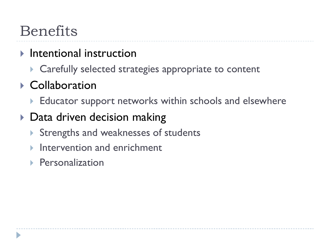## Benefits

#### $\blacktriangleright$  Intentional instruction

▶ Carefully selected strategies appropriate to content

## ▶ Collaboration

▶ Educator support networks within schools and elsewhere

### ▶ Data driven decision making

- Strengths and weaknesses of students
- Intervention and enrichment
- ▶ Personalization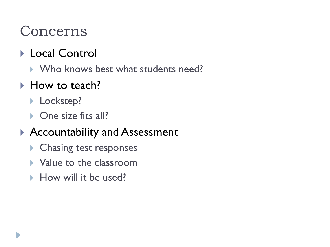## Concerns

### ▶ Local Control

▶ Who knows best what students need?

### ▶ How to teach?

- **Lockstep?**
- ▶ One size fits all?

### ▶ Accountability and Assessment

- **Chasing test responses**
- ▶ Value to the classroom
- How will it be used?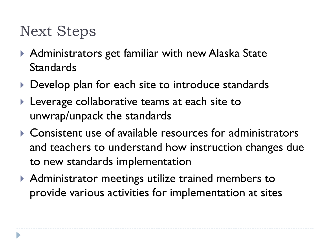## Next Steps

- ▶ Administrators get familiar with new Alaska State **Standards**
- Develop plan for each site to introduce standards
- **Leverage collaborative teams at each site to** unwrap/unpack the standards
- ▶ Consistent use of available resources for administrators and teachers to understand how instruction changes due to new standards implementation
- ▶ Administrator meetings utilize trained members to provide various activities for implementation at sites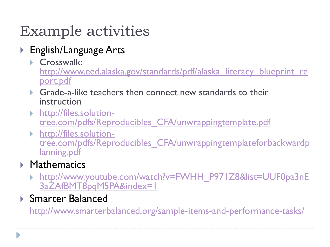# Example activities

- ▶ English/Language Arts
	- Crosswalk: http://www.eed.alaska.gov/standards/pdf/alaska literacy blueprint re [port.pdf](http://www.eed.alaska.gov/standards/pdf/alaska_literacy_blueprint_report.pdf)
	- Grade-a-like teachers then connect new standards to their instruction
	- [http://files.solution](http://files.solution-tree.com/pdfs/Reproducibles_CFA/unwrappingtemplate.pdf)[tree.com/pdfs/Reproducibles\\_CFA/unwrappingtemplate.pdf](http://files.solution-tree.com/pdfs/Reproducibles_CFA/unwrappingtemplate.pdf)
	- [http://files.solution](http://files.solution-tree.com/pdfs/Reproducibles_CFA/unwrappingtemplateforbackwardplanning.pdf)[tree.com/pdfs/Reproducibles\\_CFA/unwrappingtemplateforbackwardp](http://files.solution-tree.com/pdfs/Reproducibles_CFA/unwrappingtemplateforbackwardplanning.pdf) [lanning.pdf](http://files.solution-tree.com/pdfs/Reproducibles_CFA/unwrappingtemplateforbackwardplanning.pdf)

#### **Mathematics**

- [http://www.youtube.com/watch?v=FWHH\\_P971Z8&list=UUF0pa3nE](http://www.youtube.com/watch?v=FWHH_P971Z8&list=UUF0pa3nE3aZAfBMT8pqM5PA&index=1) [3aZAfBMT8pqM5PA&index=1](http://www.youtube.com/watch?v=FWHH_P971Z8&list=UUF0pa3nE3aZAfBMT8pqM5PA&index=1)
- ▶ Smarter Balanced

<http://www.smarterbalanced.org/sample-items-and-performance-tasks/>